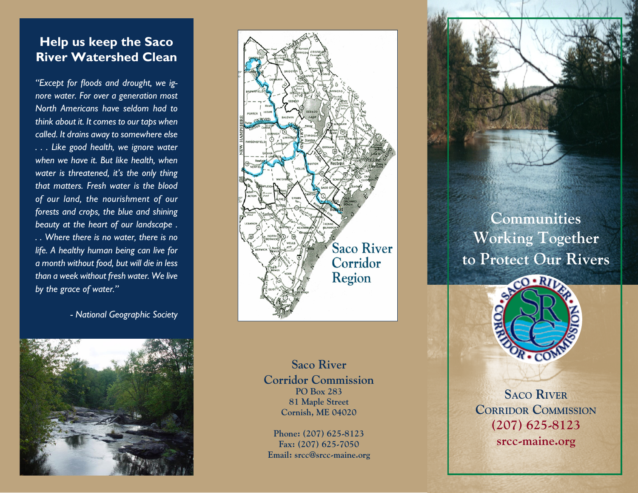# **Help us keep the Saco River Watershed Clean**

*"Except for floods and drought, we ignore water. For over a generation most North Americans have seldom had to think about it. It comes to our taps when called. It drains away to somewhere else . . . Like good health, we ignore water when we have it. But like health, when water is threatened, it's the only thing that matters. Fresh water is the blood of our land, the nourishment of our forests and crops, the blue and shining beauty at the heart of our landscape . . . Where there is no water, there is no life. A healthy human being can live for a month without food, but will die in less than a week without fresh water. We live by the grace of water."*

*- National Geographic Society*





**Saco River Corridor Commission PO Box 283 81 Maple Street Cornish, ME 04020**

**Phone: (207) 625-8123 Fax: (207) 625-7050 Email: srcc@srcc-maine.org**

**Communities Working Together to Protect Our Rivers**



**Saco River CORRIDOR COMMISSION (207) 625-8123 srcc-maine.org**